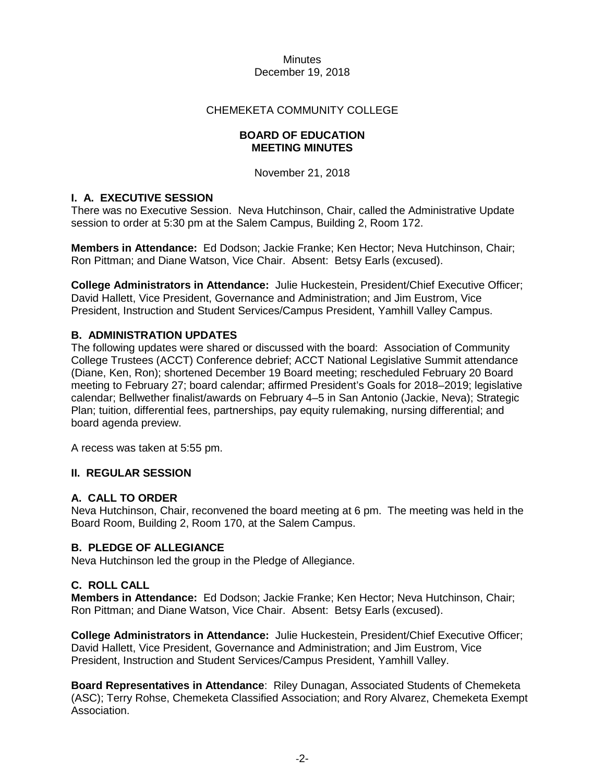#### CHEMEKETA COMMUNITY COLLEGE

#### **BOARD OF EDUCATION MEETING MINUTES**

November 21, 2018

# **I. A. EXECUTIVE SESSION**

There was no Executive Session. Neva Hutchinson, Chair, called the Administrative Update session to order at 5:30 pm at the Salem Campus, Building 2, Room 172.

**Members in Attendance:** Ed Dodson; Jackie Franke; Ken Hector; Neva Hutchinson, Chair; Ron Pittman; and Diane Watson, Vice Chair. Absent: Betsy Earls (excused).

**College Administrators in Attendance:** Julie Huckestein, President/Chief Executive Officer; David Hallett, Vice President, Governance and Administration; and Jim Eustrom, Vice President, Instruction and Student Services/Campus President, Yamhill Valley Campus.

# **B. ADMINISTRATION UPDATES**

The following updates were shared or discussed with the board: Association of Community College Trustees (ACCT) Conference debrief; ACCT National Legislative Summit attendance (Diane, Ken, Ron); shortened December 19 Board meeting; rescheduled February 20 Board meeting to February 27; board calendar; affirmed President's Goals for 2018–2019; legislative calendar; Bellwether finalist/awards on February 4–5 in San Antonio (Jackie, Neva); Strategic Plan; tuition, differential fees, partnerships, pay equity rulemaking, nursing differential; and board agenda preview.

A recess was taken at 5:55 pm.

# **II. REGULAR SESSION**

# **A. CALL TO ORDER**

Neva Hutchinson, Chair, reconvened the board meeting at 6 pm. The meeting was held in the Board Room, Building 2, Room 170, at the Salem Campus.

#### **B. PLEDGE OF ALLEGIANCE**

Neva Hutchinson led the group in the Pledge of Allegiance.

# **C. ROLL CALL**

**Members in Attendance:** Ed Dodson; Jackie Franke; Ken Hector; Neva Hutchinson, Chair; Ron Pittman; and Diane Watson, Vice Chair. Absent: Betsy Earls (excused).

**College Administrators in Attendance:** Julie Huckestein, President/Chief Executive Officer; David Hallett, Vice President, Governance and Administration; and Jim Eustrom, Vice President, Instruction and Student Services/Campus President, Yamhill Valley.

**Board Representatives in Attendance**: Riley Dunagan, Associated Students of Chemeketa (ASC); Terry Rohse, Chemeketa Classified Association; and Rory Alvarez, Chemeketa Exempt Association.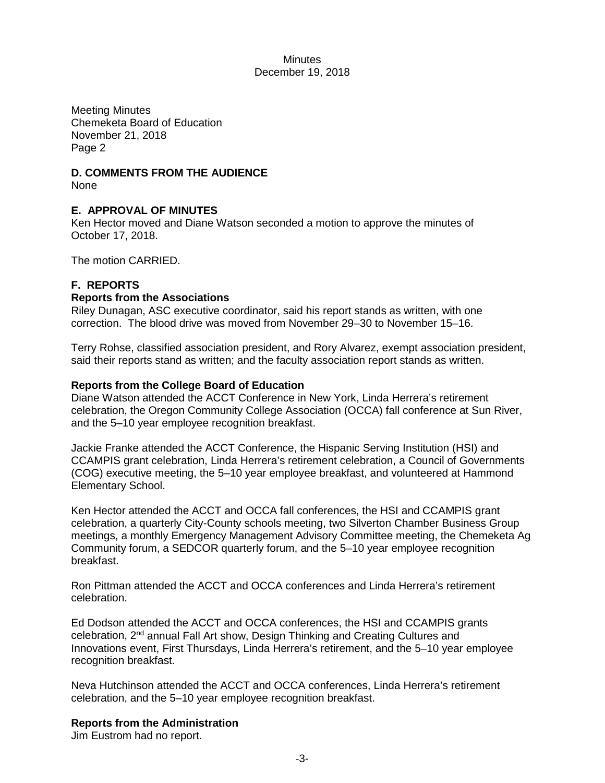Meeting Minutes Chemeketa Board of Education November 21, 2018 Page 2

# **D. COMMENTS FROM THE AUDIENCE**

None

# **E. APPROVAL OF MINUTES**

Ken Hector moved and Diane Watson seconded a motion to approve the minutes of October 17, 2018.

The motion CARRIED.

# **F. REPORTS**

### **Reports from the Associations**

Riley Dunagan, ASC executive coordinator, said his report stands as written, with one correction. The blood drive was moved from November 29–30 to November 15–16.

Terry Rohse, classified association president, and Rory Alvarez, exempt association president, said their reports stand as written; and the faculty association report stands as written.

### **Reports from the College Board of Education**

Diane Watson attended the ACCT Conference in New York, Linda Herrera's retirement celebration, the Oregon Community College Association (OCCA) fall conference at Sun River, and the 5–10 year employee recognition breakfast.

Jackie Franke attended the ACCT Conference, the Hispanic Serving Institution (HSI) and CCAMPIS grant celebration, Linda Herrera's retirement celebration, a Council of Governments (COG) executive meeting, the 5–10 year employee breakfast, and volunteered at Hammond Elementary School.

Ken Hector attended the ACCT and OCCA fall conferences, the HSI and CCAMPIS grant celebration, a quarterly City-County schools meeting, two Silverton Chamber Business Group meetings, a monthly Emergency Management Advisory Committee meeting, the Chemeketa Ag Community forum, a SEDCOR quarterly forum, and the 5–10 year employee recognition breakfast.

Ron Pittman attended the ACCT and OCCA conferences and Linda Herrera's retirement celebration.

Ed Dodson attended the ACCT and OCCA conferences, the HSI and CCAMPIS grants celebration, 2nd annual Fall Art show, Design Thinking and Creating Cultures and Innovations event, First Thursdays, Linda Herrera's retirement, and the 5–10 year employee recognition breakfast.

Neva Hutchinson attended the ACCT and OCCA conferences, Linda Herrera's retirement celebration, and the 5–10 year employee recognition breakfast.

# **Reports from the Administration**

Jim Eustrom had no report.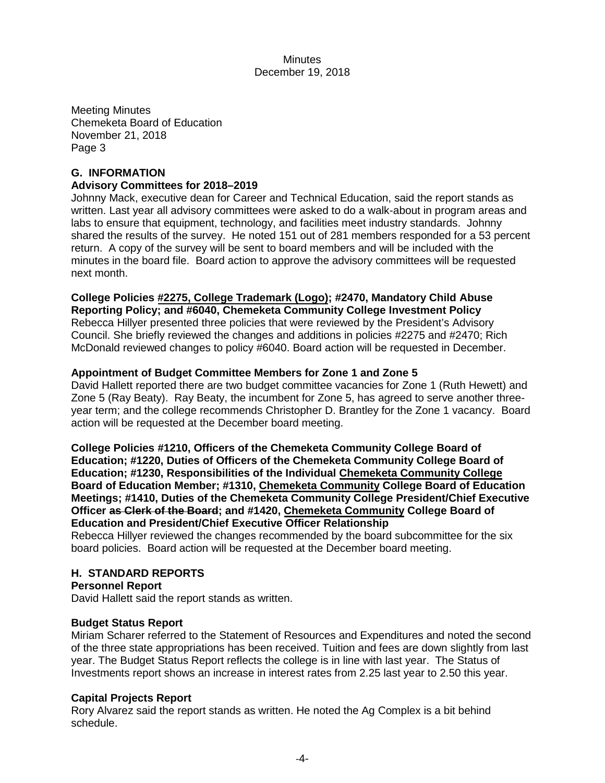Meeting Minutes Chemeketa Board of Education November 21, 2018 Page 3

### **G. INFORMATION**

#### **Advisory Committees for 2018–2019**

Johnny Mack, executive dean for Career and Technical Education, said the report stands as written. Last year all advisory committees were asked to do a walk-about in program areas and labs to ensure that equipment, technology, and facilities meet industry standards. Johnny shared the results of the survey. He noted 151 out of 281 members responded for a 53 percent return. A copy of the survey will be sent to board members and will be included with the minutes in the board file. Board action to approve the advisory committees will be requested next month.

#### **College Policies #2275, College Trademark (Logo); #2470, Mandatory Child Abuse Reporting Policy; and #6040, Chemeketa Community College Investment Policy**

Rebecca Hillyer presented three policies that were reviewed by the President's Advisory Council. She briefly reviewed the changes and additions in policies #2275 and #2470; Rich McDonald reviewed changes to policy #6040. Board action will be requested in December.

### **Appointment of Budget Committee Members for Zone 1 and Zone 5**

David Hallett reported there are two budget committee vacancies for Zone 1 (Ruth Hewett) and Zone 5 (Ray Beaty). Ray Beaty, the incumbent for Zone 5, has agreed to serve another threeyear term; and the college recommends Christopher D. Brantley for the Zone 1 vacancy. Board action will be requested at the December board meeting.

**College Policies #1210, Officers of the Chemeketa Community College Board of Education; #1220, Duties of Officers of the Chemeketa Community College Board of Education; #1230, Responsibilities of the Individual Chemeketa Community College Board of Education Member; #1310, Chemeketa Community College Board of Education Meetings; #1410, Duties of the Chemeketa Community College President/Chief Executive Officer as Clerk of the Board; and #1420, Chemeketa Community College Board of Education and President/Chief Executive Officer Relationship** 

Rebecca Hillyer reviewed the changes recommended by the board subcommittee for the six board policies. Board action will be requested at the December board meeting.

# **H. STANDARD REPORTS**

#### **Personnel Report**

David Hallett said the report stands as written.

#### **Budget Status Report**

Miriam Scharer referred to the Statement of Resources and Expenditures and noted the second of the three state appropriations has been received. Tuition and fees are down slightly from last year. The Budget Status Report reflects the college is in line with last year. The Status of Investments report shows an increase in interest rates from 2.25 last year to 2.50 this year.

#### **Capital Projects Report**

Rory Alvarez said the report stands as written. He noted the Ag Complex is a bit behind schedule.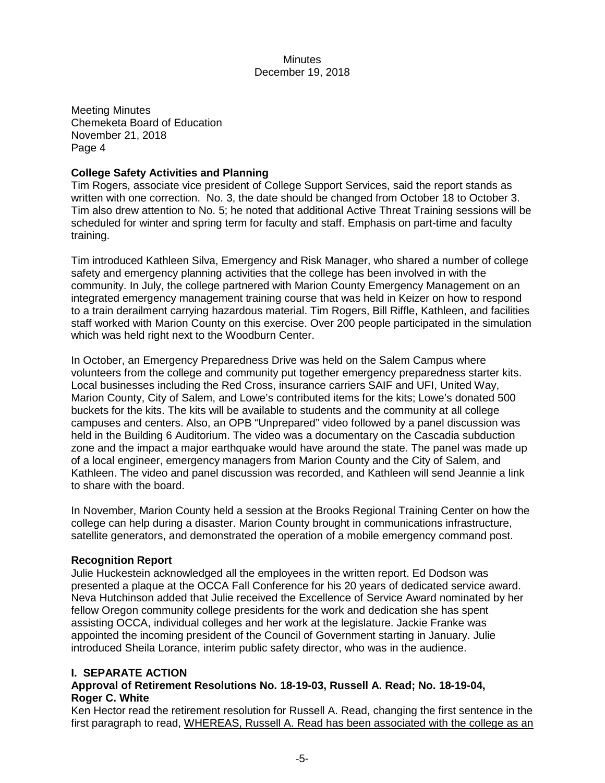Meeting Minutes Chemeketa Board of Education November 21, 2018 Page 4

### **College Safety Activities and Planning**

Tim Rogers, associate vice president of College Support Services, said the report stands as written with one correction. No. 3, the date should be changed from October 18 to October 3. Tim also drew attention to No. 5; he noted that additional Active Threat Training sessions will be scheduled for winter and spring term for faculty and staff. Emphasis on part-time and faculty training.

Tim introduced Kathleen Silva, Emergency and Risk Manager, who shared a number of college safety and emergency planning activities that the college has been involved in with the community. In July, the college partnered with Marion County Emergency Management on an integrated emergency management training course that was held in Keizer on how to respond to a train derailment carrying hazardous material. Tim Rogers, Bill Riffle, Kathleen, and facilities staff worked with Marion County on this exercise. Over 200 people participated in the simulation which was held right next to the Woodburn Center.

In October, an Emergency Preparedness Drive was held on the Salem Campus where volunteers from the college and community put together emergency preparedness starter kits. Local businesses including the Red Cross, insurance carriers SAIF and UFI, United Way, Marion County, City of Salem, and Lowe's contributed items for the kits; Lowe's donated 500 buckets for the kits. The kits will be available to students and the community at all college campuses and centers. Also, an OPB "Unprepared" video followed by a panel discussion was held in the Building 6 Auditorium. The video was a documentary on the Cascadia subduction zone and the impact a major earthquake would have around the state. The panel was made up of a local engineer, emergency managers from Marion County and the City of Salem, and Kathleen. The video and panel discussion was recorded, and Kathleen will send Jeannie a link to share with the board.

In November, Marion County held a session at the Brooks Regional Training Center on how the college can help during a disaster. Marion County brought in communications infrastructure, satellite generators, and demonstrated the operation of a mobile emergency command post.

#### **Recognition Report**

Julie Huckestein acknowledged all the employees in the written report. Ed Dodson was presented a plaque at the OCCA Fall Conference for his 20 years of dedicated service award. Neva Hutchinson added that Julie received the Excellence of Service Award nominated by her fellow Oregon community college presidents for the work and dedication she has spent assisting OCCA, individual colleges and her work at the legislature. Jackie Franke was appointed the incoming president of the Council of Government starting in January. Julie introduced Sheila Lorance, interim public safety director, who was in the audience.

#### **I. SEPARATE ACTION**

### **Approval of Retirement Resolutions No. 18-19-03, Russell A. Read; No. 18-19-04, Roger C. White**

Ken Hector read the retirement resolution for Russell A. Read, changing the first sentence in the first paragraph to read, WHEREAS, Russell A. Read has been associated with the college as an